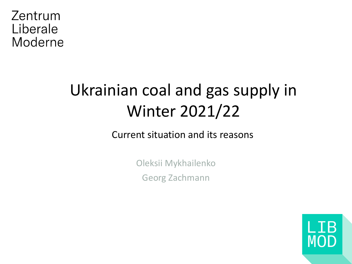Zentrum Liberale Moderne

# Ukrainian coal and gas supply in Winter 2021/22

Current situation and its reasons

Oleksii Mykhailenko Georg Zachmann

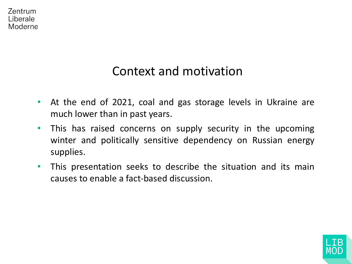

# Context and motivation

- At the end of 2021, coal and gas storage levels in Ukraine are much lower than in past years.
- This has raised concerns on supply security in the upcoming winter and politically sensitive dependency on Russian energy supplies.
- This presentation seeks to describe the situation and its main causes to enable a fact-based discussion.

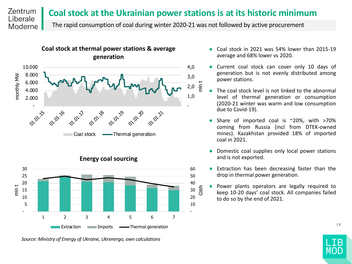#### Zentrum **Coal stock at the Ukrainian power stations is at its historic minimum**  Liberale

The rapid consumption of coal during winter 2020-21 was not followed by active procurement



Moderne



*Source: Ministry of Energy of Ukraine, Ukrenergo, own calculations*

- Coal stock in 2021 was 54% lower than 2015-19 average and 68% lower vs 2020.
- Current coal stock can cover only 10 days of generation but is not evenly distributed among power stations.
- The coal stock level is not linked to the abnormal level of thermal generation or consumption (2020-21 winter was warm and low consumption due to Covid-19).
- Share of imported coal is  $\sim$ 20%, with >70% coming from Russia (incl from DTEK-owned mines). Kazakhstan provided 18% of imported coal in 2021.
- Domestic coal supplies only local power stations and is not exported.
- Extraction has been decreasing faster than the drop in thermal power generation.
- Power plants operators are legally required to keep 10-20 days' coal stock. All companies failed to do so by the end of 2021.



| 3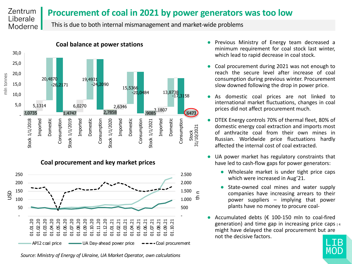#### Zentrum **Procurement of coal in 2021 by power generators was too low** Liberale

This is due to both internal mismanagement and market-wide problems



Moderne

### **Coal procurement and key market prices**



*Source: Ministry of Energy of Ukraine, UA Market Operator, own calculations*

- Previous Ministry of Energy team decreased a minimum requirement for coal stock last winter, which lead to rapid decrease in coal stock.
- Coal procurement during 2021 was not enough to reach the secure level after increase of coal consumption during previous winter. Procurement slow downed following the drop in power price.
- As domestic coal prices are not linked to international market fluctuations, changes in coal prices did not affect procurement much.
- DTEK Energy controls 70% of thermal fleet, 80% of domestic energy coal extraction and imports most of anthracite coal from their own mines in Russian. Worldwide price fluctuations hardly affected the internal cost of coal extracted.
- UA power market has regulatory constraints that have led to cash-flow gaps for power generators:
	- Wholesale market is under tight price caps which were increased in Aug'21.
	- State-owned coal mines and water supply companies have increasing arrears to their power suppliers – implying that power plants have no money to procure coal-
- generation) and time gap in increasing price caps  $\frac{1}{4}$ ● Accumulated debts ( $€$  100-150 mln to coal-fired might have delayed the coal procurement but are not the decisive factors.

MOL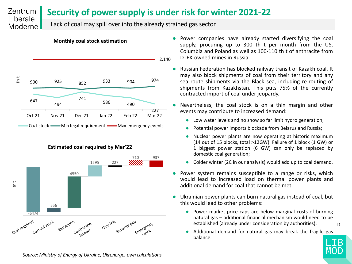#### Zentrum **Security of power supply is under risk for winter 2021-22** Liberale

Lack of coal may spill over into the already strained gas sector



**Monthly coal stock estimation**

Moderne

**Estimated coal required by Mar'22**



- Power companies have already started diversifying the coal supply, procuring up to 300 th t per month from the US, Columbia and Poland as well as 100-110 th t of anthracite from DTEK-owned mines in Russia.
- Russian Federation has blocked railway transit of Kazakh coal. It may also block shipments of coal from their territory and any sea route shipments via the Black sea, including re-routing of shipments from Kazakhstan. This puts 75% of the currently contracted import of coal under jeopardy.
- Nevertheless, the coal stock is on a thin margin and other events may contribute to increased demand:
	- Low water levels and no snow so far limit hydro generation;
	- Potential power imports blockade from Belarus and Russia;
	- Nuclear power plants are now operating at historic maximum (14 out of 15 blocks, total >12GW). Failure of 1 block (1 GW) or 1 biggest power station (6 GW) can only be replaced by domestic coal generation;
	- Colder winter (2C in our analysis) would add up to coal demand.
- Power system remains susceptible to a range or risks, which would lead to increased load on thermal power plants and additional demand for coal that cannot be met.
- Ukrainian power plants can burn natural gas instead of coal, but this would lead to other problems:
	- | 5 ● Power market price caps are below marginal costs of burning natural gas – additional financial mechanism would need to be established (already under consideration by authorities);
	- Additional demand for natural gas may break the fragile gas balance.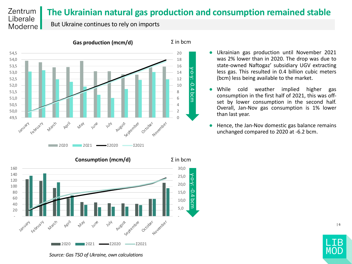#### Zentrum **The Ukrainian natural gas production and consumption remained stable** Liberale

Σ in bcm

But Ukraine continues to rely on imports

Moderne



**Gas production (mcm/d)**

- Ukrainian gas production until November 2021 was 2% lower than in 2020. The drop was due to state-owned Naftogaz' subsidiary UGV extracting less gas. This resulted in 0.4 billion cubic meters (bcm) less being available to the market.
- While cold weather implied higher gas consumption in the first half of 2021, this was offset by lower consumption in the second half. Overall, Jan-Nov gas consumption is 1% lower than last year.
- Hence, the Jan-Nov domestic gas balance remains unchanged compared to 2020 at -6.2 bcm.



*Source: Gas TSO of Ukraine, own calculations*

MO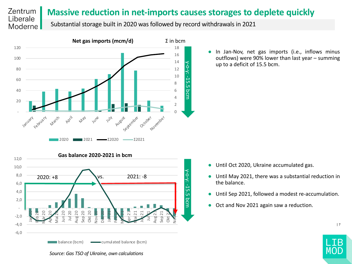#### Zentrum **Massive reduction in net-imports causes storages to deplete quickly** Liberale

Substantial storage built in 2020 was followed by record withdrawals in 2021



Moderne

● In Jan-Nov, net gas imports (i.e., inflows minus outflows) were 90% lower than last year – summing up to a deficit of 15.5 bcm.



- Until Oct 2020, Ukraine accumulated gas.
- Until May 2021, there was a substantial reduction in the balance.
- Until Sep 2021, followed a modest re-accumulation.
- Oct and Nov 2021 again saw a reduction.



*Source: Gas TSO of Ukraine, own calculations*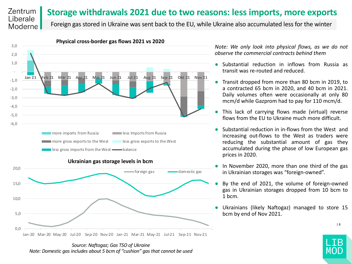#### Zentrum **Storage withdrawals 2021 due to two reasons: less imports, more exports** Liberale

Foreign gas stored in Ukraine was sent back to the EU, while Ukraine also accumulated less for the winter



Moderne

**Ukrainian gas storage levels in bcm**



*Note: We only look into physical flows, as we do not observe the commercial contracts behind them*

- Substantial reduction in inflows from Russia as transit was re-routed and reduced.
- Transit dropped from more than 80 bcm in 2019, to a contracted 65 bcm in 2020, and 40 bcm in 2021. Daily volumes often were occasionally at only 80 mcm/d while Gazprom had to pay for 110 mcm/d.
- This lack of carrying flows made (virtual) reverse flows from the EU to Ukraine much more difficult.
- Substantial reduction in in-flows from the West and increasing out-flows to the West as traders were reducing the substantial amount of gas they accumulated during the phase of low European gas prices in 2020.
- In November 2020, more than one third of the gas in Ukrainian storages was "foreign-owned".
- By the end of 2021, the volume of foreign-owned gas in Ukrainian storages dropped from 10 bcm to 1 bcm.
- Ukrainians (likely Naftogaz) managed to store 15 bcm by end of Nov 2021.



*Source: Naftogaz; Gas TSO of Ukraine Note: Domestic gas includes about 5 bcm of "cushion" gas that cannot be used*

MO)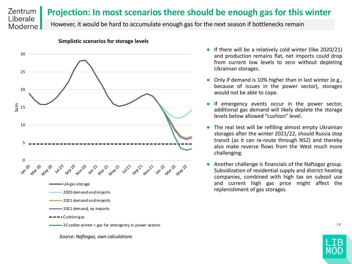#### Zentrum **Projection: In most scenarios there should be enough gas for this winter** Liberale

However, it would be hard to accumulate enough gas for the next season if bottlenecks remain



#### **Simplistic scenarios for storage levels**

Moderne

- If there will be a relatively cold winter (like 2020/21) and production remains flat, net imports could drop from current low levels to zero without depleting Ukrainian storages.
- Only if demand is 10% higher than in last winter (e.g., because of issues in the power sector), storages would not be able to cope.
- If emergency events occur in the power sector, additional gas demand will likely deplete the storage levels below allowed "cushion" level.
- The real test will be refilling almost empty Ukrainian storages after the winter 2021/22, should Russia stop transit (as it can re-route through NS2) and thereby also make reverse flows from the West much more challenging.
- Another challenge is financials of the Naftogaz group. Subsidization of residential supply and district heating companies, combined with high tax on subsoil use and current high gas price might affect the replenishment of gas storages.